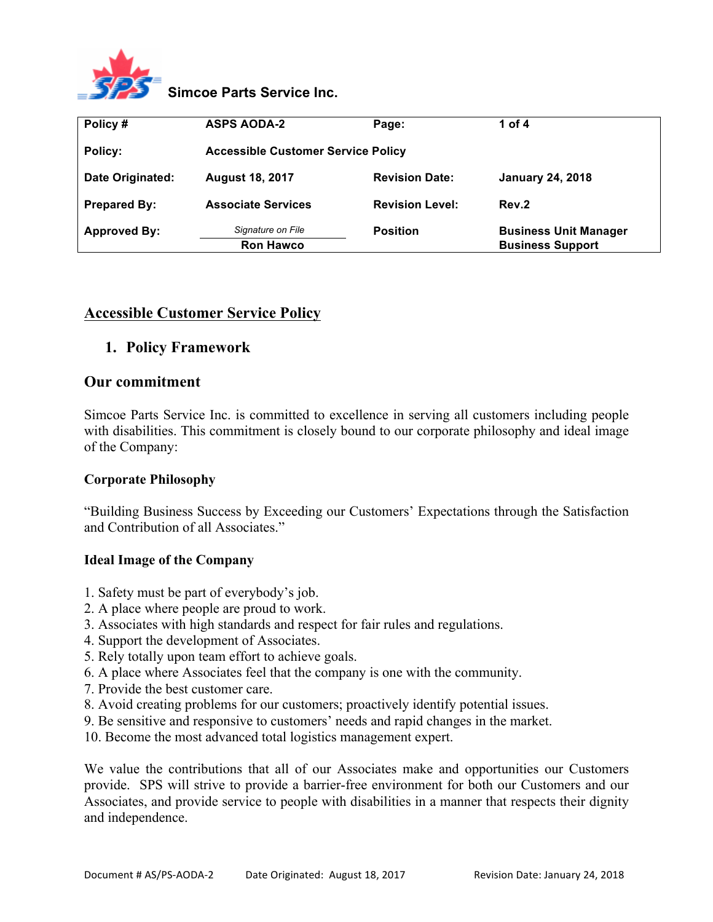

# **Simcoe Parts Service Inc.**

| Policy#             | <b>ASPS AODA-2</b>                        | Page:                  | 1 of 4                       |
|---------------------|-------------------------------------------|------------------------|------------------------------|
| Policy:             | <b>Accessible Customer Service Policy</b> |                        |                              |
| Date Originated:    | <b>August 18, 2017</b>                    | <b>Revision Date:</b>  | <b>January 24, 2018</b>      |
| <b>Prepared By:</b> | <b>Associate Services</b>                 | <b>Revision Level:</b> | Rev.2                        |
| <b>Approved By:</b> | Signature on File                         | <b>Position</b>        | <b>Business Unit Manager</b> |
|                     | <b>Ron Hawco</b>                          |                        | <b>Business Support</b>      |

# **Accessible Customer Service Policy**

## **1. Policy Framework**

#### **Our commitment**

Simcoe Parts Service Inc. is committed to excellence in serving all customers including people with disabilities. This commitment is closely bound to our corporate philosophy and ideal image of the Company:

#### **Corporate Philosophy**

"Building Business Success by Exceeding our Customers' Expectations through the Satisfaction and Contribution of all Associates."

#### **Ideal Image of the Company**

- 1. Safety must be part of everybody's job.
- 2. A place where people are proud to work.
- 3. Associates with high standards and respect for fair rules and regulations.
- 4. Support the development of Associates.
- 5. Rely totally upon team effort to achieve goals.
- 6. A place where Associates feel that the company is one with the community.
- 7. Provide the best customer care.
- 8. Avoid creating problems for our customers; proactively identify potential issues.
- 9. Be sensitive and responsive to customers' needs and rapid changes in the market.
- 10. Become the most advanced total logistics management expert.

We value the contributions that all of our Associates make and opportunities our Customers provide. SPS will strive to provide a barrier-free environment for both our Customers and our Associates, and provide service to people with disabilities in a manner that respects their dignity and independence.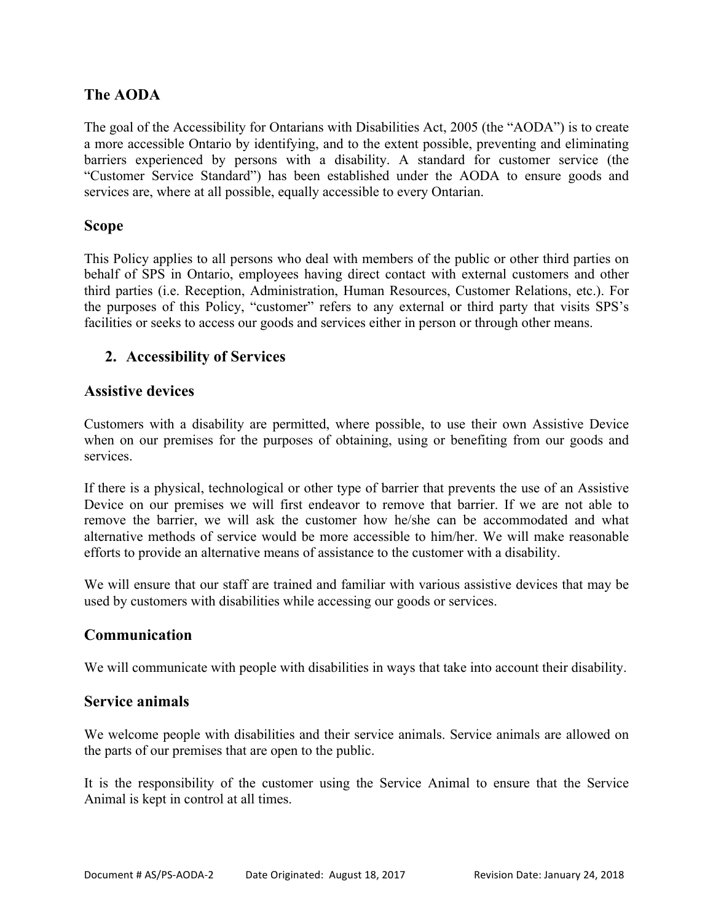# **The AODA**

The goal of the Accessibility for Ontarians with Disabilities Act, 2005 (the "AODA") is to create a more accessible Ontario by identifying, and to the extent possible, preventing and eliminating barriers experienced by persons with a disability. A standard for customer service (the "Customer Service Standard") has been established under the AODA to ensure goods and services are, where at all possible, equally accessible to every Ontarian.

## **Scope**

This Policy applies to all persons who deal with members of the public or other third parties on behalf of SPS in Ontario, employees having direct contact with external customers and other third parties (i.e. Reception, Administration, Human Resources, Customer Relations, etc.). For the purposes of this Policy, "customer" refers to any external or third party that visits SPS's facilities or seeks to access our goods and services either in person or through other means.

# **2. Accessibility of Services**

## **Assistive devices**

Customers with a disability are permitted, where possible, to use their own Assistive Device when on our premises for the purposes of obtaining, using or benefiting from our goods and services.

If there is a physical, technological or other type of barrier that prevents the use of an Assistive Device on our premises we will first endeavor to remove that barrier. If we are not able to remove the barrier, we will ask the customer how he/she can be accommodated and what alternative methods of service would be more accessible to him/her. We will make reasonable efforts to provide an alternative means of assistance to the customer with a disability.

We will ensure that our staff are trained and familiar with various assistive devices that may be used by customers with disabilities while accessing our goods or services.

## **Communication**

We will communicate with people with disabilities in ways that take into account their disability.

#### **Service animals**

We welcome people with disabilities and their service animals. Service animals are allowed on the parts of our premises that are open to the public.

It is the responsibility of the customer using the Service Animal to ensure that the Service Animal is kept in control at all times.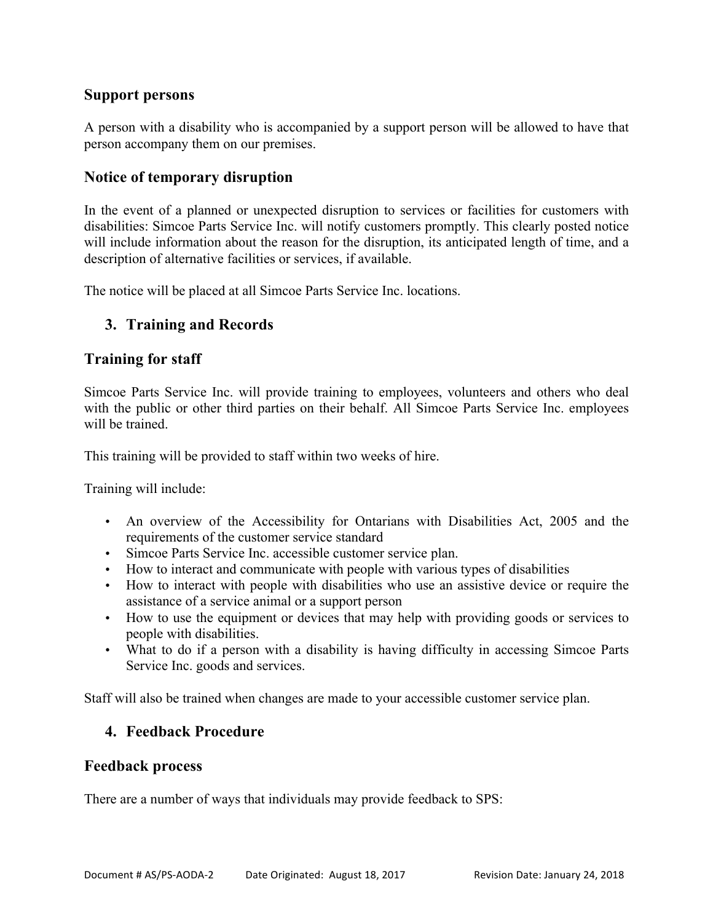# **Support persons**

A person with a disability who is accompanied by a support person will be allowed to have that person accompany them on our premises.

# **Notice of temporary disruption**

In the event of a planned or unexpected disruption to services or facilities for customers with disabilities: Simcoe Parts Service Inc. will notify customers promptly. This clearly posted notice will include information about the reason for the disruption, its anticipated length of time, and a description of alternative facilities or services, if available.

The notice will be placed at all Simcoe Parts Service Inc. locations.

# **3. Training and Records**

## **Training for staff**

Simcoe Parts Service Inc. will provide training to employees, volunteers and others who deal with the public or other third parties on their behalf. All Simcoe Parts Service Inc. employees will be trained.

This training will be provided to staff within two weeks of hire.

Training will include:

- An overview of the Accessibility for Ontarians with Disabilities Act, 2005 and the requirements of the customer service standard
- Simcoe Parts Service Inc. accessible customer service plan.
- How to interact and communicate with people with various types of disabilities
- How to interact with people with disabilities who use an assistive device or require the assistance of a service animal or a support person
- How to use the equipment or devices that may help with providing goods or services to people with disabilities.
- What to do if a person with a disability is having difficulty in accessing Simcoe Parts Service Inc. goods and services.

Staff will also be trained when changes are made to your accessible customer service plan.

# **4. Feedback Procedure**

#### **Feedback process**

There are a number of ways that individuals may provide feedback to SPS: